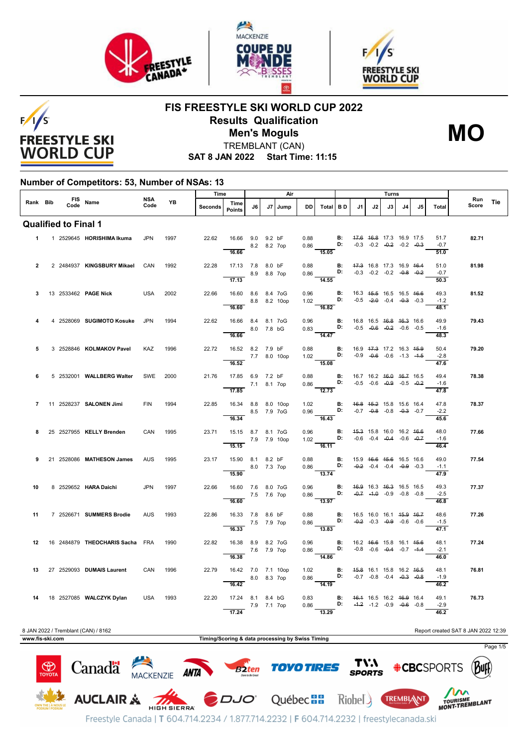





 $F/1/S$ **FREESTYLE SKI WORLD CUP** 

# **FIS FREESTYLE SKI WORLD CUP 2022 Results Qualification Men's Moguls MO**



TREMBLANT (CAN)

**SAT 8 JAN 2022 Start Time: 11:15**

#### **Number of Competitors: 53, Number of NSAs: 13**

|                      |                                                                            |  |                                 | <b>NSA</b> | Time |                                                  |                                             |             | Air        |              |              |                                                                                                                                               |           | Turns                                          |    |                                                                |                |    | Run                                |       |          |
|----------------------|----------------------------------------------------------------------------|--|---------------------------------|------------|------|--------------------------------------------------|---------------------------------------------|-------------|------------|--------------|--------------|-----------------------------------------------------------------------------------------------------------------------------------------------|-----------|------------------------------------------------|----|----------------------------------------------------------------|----------------|----|------------------------------------|-------|----------|
| Rank Bib             |                                                                            |  | FIS Name                        | Code       | YB   | Seconds                                          | Time<br><b>Points</b>                       | J6          | <b>.I7</b> | Jump         | <b>DD</b>    | Total                                                                                                                                         | <b>BD</b> | J1                                             | J2 | J3                                                             | J <sub>4</sub> | J5 | Total                              | Score | Tie      |
|                      |                                                                            |  | <b>Qualified to Final 1</b>     |            |      |                                                  |                                             |             |            |              |              |                                                                                                                                               |           |                                                |    |                                                                |                |    |                                    |       |          |
| $\blacktriangleleft$ |                                                                            |  | 1 2529645 HORISHIMA Ikuma       | <b>JPN</b> | 1997 | 22.62                                            | 16.66 9.0 9.2 bF<br>$-8.2$ 8.2 7op<br>16.66 |             |            |              |              | $\begin{array}{cc} 0.88 & \qquad \qquad \mathbf{B:} \\ 0.86 & \qquad \qquad \mathbf{D:} \end{array}$<br>15.05                                 |           |                                                |    | 47.6 46.8 17.3 16.9 17.5<br>$-0.3$ $-0.2$ $-0.2$ $-0.2$ $-0.3$ |                |    | 51.7<br>$-0.7$<br>$\frac{1}{51.0}$ | 82.71 |          |
| $\overline{2}$       |                                                                            |  | 2 2484937 KINGSBURY Mikael      | CAN        | 1992 | 22.28                                            | 17.13 7.8 8.0 bF<br>8.9 8.8 7op             |             |            |              | 0.88         | $0.86$ D: $-0.3$ $-0.2$ $-0.2$ $-0.8$ $-0.2$                                                                                                  |           | <b>B:</b> 47.3 16.8 17.3 16.9 46.4             |    |                                                                |                |    | 51.0<br>$-0.7$                     | 81.98 |          |
| 3                    |                                                                            |  | 13 2533462 PAGE Nick            | USA        | 2002 | 22.66                                            | 17.13<br>16.60 8.6 8.4 7oG                  |             |            |              | 0.96         | $\overline{14.55}$                                                                                                                            | B:        | 16.3 45.5 16.5 16.5 46.6                       |    |                                                                |                |    | 50.3<br>49.3                       | 81.52 |          |
|                      |                                                                            |  |                                 |            |      |                                                  | 16.60                                       |             |            | 8.8 8.2 10op |              | 1.02 <b>D</b> :<br>16.82                                                                                                                      |           |                                                |    | $-0.5$ $-2.0$ $-0.4$ $-0.3$ $-0.3$                             |                |    | $-1.2$<br>48.1                     |       |          |
|                      |                                                                            |  | 4 2528069 SUGIMOTO Kosuke       | <b>JPN</b> | 1994 | 22.62                                            | 16.66 8.4 8.1 7oG<br>16.66                  | 8.0 7.8 bG  |            |              |              | $\begin{array}{ll} 0.96 \qquad \qquad \textbf{B:} \\ 0.83 \qquad \qquad \textbf{D:} \end{array}$<br>14.47                                     |           | 16.8 16.5 <del>16.8</del> 16.3 16.6            |    | $-0.5$ $-0.6$ $-0.2$ $-0.6$ $-0.5$                             |                |    | 49.9<br>$-1.6$<br>48.3             | 79.43 |          |
| 5                    |                                                                            |  | 3 2528846 KOLMAKOV Pavel        | <b>KAZ</b> | 1996 | 22.72                                            | 16.52 8.2 7.9 bF<br>7.7 8.0 10op            |             |            |              | 0.88         | 1.02 <b>D:</b> $-0.9$ $-0.6$ $-1.3$ $-1.5$                                                                                                    | B:        | 16.9 <del>17.3</del> 17.2 16.3 <del>15.9</del> |    |                                                                |                |    | 50.4<br>$-2.8$                     | 79.20 |          |
| 6                    |                                                                            |  | 5 2532001 WALLBERG Walter       | SWE        | 2000 | 21.76                                            | 16.52<br>17.85 6.9 7.2 bF                   | 7.1 8.1 7op |            |              | 0.88         | 15.08<br>$0.86$ D: $-0.5$ $-0.6$ $-0.9$ $-0.5$ $-0.2$                                                                                         |           | <b>B:</b> 16.7 16.2 <del>16.0 16.7</del> 16.5  |    |                                                                |                |    | 47.6<br>49.4<br>$-1.6$             | 78.38 |          |
| $\overline{7}$       |                                                                            |  | 11 2528237 SALONEN Jimi         | <b>FIN</b> | 1994 | 22.85                                            | 17.85<br>16.34 8.8 8.0 10op                 | 8.5 7.9 7oG |            |              |              | $\overline{12.73}$<br>1.02 <b>B:</b><br>0.96 <b>D:</b>                                                                                        |           |                                                |    | 46.8 45.2 15.8 15.6 16.4<br>$-0.7$ $-0.8$ $-0.8$ $-0.3$ $-0.7$ |                |    | 47.8<br>47.8<br>$-2.2$             | 78.37 |          |
|                      |                                                                            |  | 25 2527955 KELLY Brenden        | CAN        | 1995 | 23.71                                            | 16.34<br>15.15 8.7 8.1 7oG<br>7.9 7.9 10op  |             |            |              |              | $\overline{16.43}$<br>0.96 <b>B:</b><br>1.02 <b>D:</b>                                                                                        |           |                                                |    | 45.3 15.8 16.0 16.2 46.6<br>$-0.6$ $-0.4$ $-0.4$ $-0.6$ $-0.7$ |                |    | 45.6<br>48.0<br>$-1.6$             | 77.66 |          |
| 9                    |                                                                            |  | 21 2528086 MATHESON James       | <b>AUS</b> | 1995 | 23.17                                            | 15.15<br>15.90 8.1 8.2 bF<br>8.0 7.3 7op    |             |            |              | 0.88         | $\overline{16.11}$<br>0.86 <b>D:</b> $-0.2$ -0.4 -0.4 -0. <del>0</del> -0.3                                                                   |           | <b>B:</b> 15.9 46.6 45.6 16.5 16.6             |    |                                                                |                |    | 46.4<br>49.0<br>$-1.1$             | 77.54 |          |
| 10                   |                                                                            |  | 8 2529652 HARA Daichi           | <b>JPN</b> | 1997 | 22.66                                            | 15.90<br>16.60 7.6 8.0 7oG                  | 7.5 7.6 7op |            |              | 0.96<br>0.86 | $\overline{13.74}$<br>D:                                                                                                                      | B:        |                                                |    | 46.9 16.3 46.3 16.5 16.5<br>$-0.7$ $-1.0$ $-0.9$ $-0.8$ $-0.8$ |                |    | 47.9<br>49.3<br>$-2.5$             | 77.37 |          |
| 11                   |                                                                            |  | 7 2526671 SUMMERS Brodie        | <b>AUS</b> | 1993 | 22.86                                            | 16.60<br>16.33 7.8 8.6 bF                   | 7.5 7.9 7op |            |              | 0.88<br>0.86 | $\overline{13.97}$<br><b>B</b> : 16.5 16.0 16.1 <del>15.9 16.7</del><br><b>D:</b> -0.2 -0.3 -0.9 -0.6 -0.6                                    |           |                                                |    |                                                                |                |    | 46.8<br>48.6<br>$-1.5$             | 77.26 |          |
| 12                   |                                                                            |  | 16 2484879 THEOCHARIS Sacha FRA |            | 1990 | 22.82                                            | 16.33<br>16.38 8.9 8.2 7oG<br>7.6 7.9 7op   |             |            |              | 0.96         | $\overline{13.83}$<br>0.86                                                                                                                    | B:<br>D:  |                                                |    | 16.2 46.6 15.8 16.1 45.6<br>$-0.8$ $-0.6$ $-0.4$ $-0.7$ $-4.4$ |                |    | 47.1<br>48.1<br>$-2.1$             | 77.24 |          |
| 13                   |                                                                            |  | 27 2529093 DUMAIS Laurent       | CAN        | 1996 | 22.79                                            | 16.38<br>16.42 7.0 7.1 10op                 |             |            |              | 1.02         | $-14.86$                                                                                                                                      |           |                                                |    |                                                                |                |    | 46.0<br>48.1                       | 76.81 |          |
|                      |                                                                            |  |                                 |            |      |                                                  | 8.0 8.3 7op<br>16.42                        |             |            |              | 0.86         | <b>B:</b> 4 <del>5.8</del> 16.1 15.8 16.2 4 <del>6.5</del><br><b>D:</b> -0.7 -0.8 -0.4 - <del>0.3</del> -0. <del>8</del><br>$\frac{1}{14.19}$ |           |                                                |    |                                                                |                |    | $-1.9$<br>46.2                     |       |          |
| 14                   |                                                                            |  | 18 2527085 WALCZYK Dylan        | <b>USA</b> | 1993 | 22.20                                            | 17.24 8.1 8.4 bG<br>17.24                   | 7.9 7.1 7op |            |              | 0.83<br>0.86 | $\overline{D}$ :<br>$\frac{1}{13.29}$                                                                                                         | B:        |                                                |    | 46.4 16.5 16.2 46.9 16.4<br>$-4.2$ $-1.2$ $-0.9$ $-0.6$ $-0.8$ |                |    | 49.1<br>$-2.9$<br>46.2             | 76.73 |          |
|                      | Report created SAT 8 JAN 2022 12:39<br>8 JAN 2022 / Tremblant (CAN) / 8162 |  |                                 |            |      |                                                  |                                             |             |            |              |              |                                                                                                                                               |           |                                                |    |                                                                |                |    |                                    |       |          |
| www.fis-ski.com      |                                                                            |  |                                 |            |      | Timing/Scoring & data processing by Swiss Timing |                                             |             |            |              |              |                                                                                                                                               |           |                                                |    |                                                                |                |    |                                    |       |          |
|                      |                                                                            |  |                                 |            |      |                                                  |                                             |             |            |              |              |                                                                                                                                               |           |                                                |    |                                                                |                |    |                                    |       | Page 1/5 |

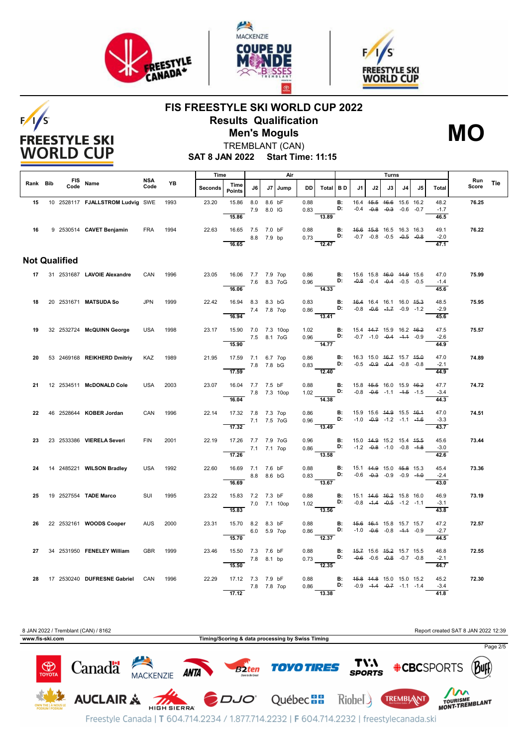

 $F/1/S$ 

**FREESTYLE SKI WORLD CUP** 





## **FIS FREESTYLE SKI WORLD CUP 2022 Results Qualification Men's Moguls MO**



TREMBLANT (CAN)

**SAT 8 JAN 2022 Start Time: 11:15**

|          |                      |                                       |             |      | Time    |                                    |             |        | Air     |         |                                                                                                                        |                                    |                                                |    | Turns                              |    |    |                |                     |     |
|----------|----------------------|---------------------------------------|-------------|------|---------|------------------------------------|-------------|--------|---------|---------|------------------------------------------------------------------------------------------------------------------------|------------------------------------|------------------------------------------------|----|------------------------------------|----|----|----------------|---------------------|-----|
| Rank Bib |                      | FIS Name                              | NSA<br>Code | YB   | Seconds | Time<br><b>Points</b>              | J6 I        |        | J7 Jump | DD I    | Total BD                                                                                                               |                                    | J1                                             | J2 | J3 I                               | J4 | J5 | Total          | <b>Run</b><br>Score | Tie |
| 15       |                      | 10 2528117 FJALLSTROM Ludvig SWE 1993 |             |      | 23.20   | 15.86 8.0                          |             | 8.6 bF |         | 0.88    |                                                                                                                        | <b>B:</b>                          |                                                |    | 16.4 45.5 46.6 15.6 16.2           |    |    | 48.2           | 76.25               |     |
|          |                      |                                       |             |      |         |                                    | 7.9 8.0 IG  |        |         | 0.83    |                                                                                                                        | D:                                 |                                                |    | $-0.4$ $-0.8$ $-0.3$ $-0.6$ $-0.7$ |    |    | $-1.7$         |                     |     |
|          |                      |                                       |             |      |         | 15.86                              |             |        |         |         | 13.89                                                                                                                  |                                    |                                                |    |                                    |    |    | 46.5           |                     |     |
| 16       |                      | 9 2530514 CAVET Benjamin              | FRA         | 1994 | 22.63   | 16.65 7.5 7.0 bF                   |             |        |         | 0.88    |                                                                                                                        | <b>B:</b> 46.6 45.8 16.5 16.3 16.3 |                                                |    |                                    |    |    | 49.1           | 76.22               |     |
|          |                      |                                       |             |      |         |                                    | 8.8 7.9 bp  |        |         |         | 0.73 $D:$ $-0.7$ $-0.8$ $-0.5$ $-0.5$ $-0.8$                                                                           |                                    |                                                |    |                                    |    |    | $-2.0$         |                     |     |
|          |                      |                                       |             |      |         | 16.65                              |             |        |         |         | 12.47                                                                                                                  |                                    |                                                |    |                                    |    |    | 47.1           |                     |     |
|          | <b>Not Qualified</b> |                                       |             |      |         |                                    |             |        |         |         |                                                                                                                        |                                    |                                                |    |                                    |    |    |                |                     |     |
|          |                      | 17 31 2531687 LAVOIE Alexandre        | CAN         | 1996 | 23.05   | 16.06 7.7 7.9 7op                  |             |        |         |         |                                                                                                                        |                                    |                                                |    |                                    |    |    | 47.0           | 75.99               |     |
|          |                      |                                       |             |      |         | 7.6 8.3 7 oG                       |             |        |         |         | 0.86 <b>B</b> : 15.6 15.8 <del>16.0</del> 14.9 15.6<br>0.96 <b>D:</b> $-0.8$ -0.4 -0.4 -0.5 -0.5                       |                                    |                                                |    |                                    |    |    | $-1.4$         |                     |     |
|          |                      |                                       |             |      |         | 16.06                              |             |        |         |         | $\overline{14.33}$                                                                                                     |                                    |                                                |    |                                    |    |    | 45.6           |                     |     |
| 18       |                      | 20 2531671 MATSUDA So                 | <b>JPN</b>  | 1999 | 22.42   | 16.94 8.3 8.3 bG                   |             |        |         | 0.83    | <b>B:</b> 46.4 16.4 16.1 16.0 45.3<br><b>D:</b> -0.8 -0.6 -1.7 -0.9 12                                                 |                                    |                                                |    |                                    |    |    | 48.5           | 75.95               |     |
|          |                      |                                       |             |      |         | 7.4 7.8 7op                        |             |        |         | 0.86    |                                                                                                                        |                                    |                                                |    |                                    |    |    | $-2.9$         |                     |     |
|          |                      |                                       |             |      |         | 16.94                              |             |        |         |         | 13.41                                                                                                                  |                                    |                                                |    |                                    |    |    | 45.6           |                     |     |
|          |                      |                                       |             |      |         |                                    |             |        |         |         |                                                                                                                        |                                    |                                                |    |                                    |    |    |                |                     |     |
| 19       |                      | 32 2532724 McQUINN George             | USA         | 1998 | 23.17   | 15.90 7.0 7.3 10op<br>7.5 8.1 7 oG |             |        |         | 1.02    | 0.96 <b>D:</b> $-0.7$ $-1.0$ $-0.4$ $-1.1$ $-0.9$                                                                      | <b>B:</b> 15.4 44.7 15.9 16.2 46.2 |                                                |    |                                    |    |    | 47.5<br>$-2.6$ | 75.57               |     |
|          |                      |                                       |             |      |         | 15.90                              |             |        |         |         | $\overline{14.77}$                                                                                                     |                                    |                                                |    |                                    |    |    | 44.9           |                     |     |
|          |                      |                                       |             |      |         |                                    |             |        |         |         |                                                                                                                        |                                    |                                                |    |                                    |    |    |                |                     |     |
| 20       |                      | 53 2469168 REIKHERD Dmitriy           | KAZ         | 1989 | 21.95   | 17.59 7.1 6.7 7op                  |             |        |         |         | 0.86 <b>B:</b><br>0.83 <b>D:</b>                                                                                       |                                    |                                                |    | 16.3 15.0 46.7 15.7 45.0           |    |    | 47.0           | 74.89               |     |
|          |                      |                                       |             |      |         | $\overline{17.59}$                 | 7.8 7.8 bG  |        |         |         | $\frac{1}{12.40}$                                                                                                      |                                    |                                                |    | $-0.5$ $-0.9$ $-0.4$ $-0.8$ $-0.8$ |    |    | $-2.1$<br>44.9 |                     |     |
|          |                      |                                       |             |      |         |                                    |             |        |         |         |                                                                                                                        |                                    |                                                |    |                                    |    |    |                |                     |     |
| 21       |                      | 12 2534511 McDONALD Cole              | USA         | 2003 | 23.07   | 16.04 7.7 7.5 bF                   |             |        |         |         | 0.88 <b>B:</b> 15.8 4 <del>5.5</del> 16.0 15.9 4 <del>6.2</del><br>1.02 <b>D:</b> -0.8 -0.6 -1.1 -4 <del>.5</del> -1.5 |                                    |                                                |    |                                    |    |    | 47.7           | 74.72               |     |
|          |                      |                                       |             |      |         | 7.8 7.3 10op                       |             |        |         |         |                                                                                                                        |                                    |                                                |    |                                    |    |    | $-3.4$         |                     |     |
|          |                      |                                       |             |      |         | 16.04                              |             |        |         | and and | $\frac{1}{14.38}$                                                                                                      |                                    |                                                |    |                                    |    |    | 44.3           |                     |     |
| 22       |                      | 46 2528644 <b>KOBER Jordan</b>        | CAN         | 1996 | 22.14   | 17.32 7.8 7.3 7op                  |             |        |         | 0.86    |                                                                                                                        | <b>B:</b>                          |                                                |    | 15.9 15.6 44.9 15.5 46.4           |    |    | 47.0           | 74.51               |     |
|          |                      |                                       |             |      |         | 7.1 7.5 7oG                        |             |        |         |         | $0.96$ D:                                                                                                              |                                    |                                                |    | $-1.0$ $-0.9$ $-1.2$ $-1.1$ $-1.6$ |    |    | $-3.3$         |                     |     |
|          |                      |                                       |             |      |         | 17.32                              |             |        |         |         | $\frac{1}{13.49}$                                                                                                      |                                    |                                                |    |                                    |    |    | 43.7           |                     |     |
| 23       |                      | 23 2533386 VIERELA Severi             | <b>FIN</b>  | 2001 | 22.19   | 17.26 7.7 7.9 7oG                  |             |        |         | 0.96    |                                                                                                                        | B:                                 |                                                |    | 15.0 44.9 15.2 15.4 45.5           |    |    | 45.6           | 73.44               |     |
|          |                      |                                       |             |      |         | 7.1 7.1 7op                        |             |        |         |         | $0.86$ D: $-1.2$ $-0.8$ $-1.0$ $-0.8$ $-1.8$                                                                           |                                    |                                                |    |                                    |    |    | $-3.0$         |                     |     |
|          |                      |                                       |             |      |         | $\overline{17.26}$                 |             |        |         |         | $\overline{13.58}$                                                                                                     |                                    |                                                |    |                                    |    |    | 42.6           |                     |     |
| 24       |                      | 14 2485221 WILSON Bradley             | <b>USA</b>  | 1992 | 22.60   | 16.69 7.1 7.6 bF                   |             |        |         | 0.88    |                                                                                                                        | B:                                 | 15.1 <del>14.9</del> 15.0 <del>15.8</del> 15.3 |    |                                    |    |    | 45.4           | 73.36               |     |
|          |                      |                                       |             |      |         |                                    | 8.8 8.6 bG  |        |         |         | $0.83$ D:                                                                                                              |                                    |                                                |    | $-0.6$ $-0.3$ $-0.9$ $-0.9$ $-4.0$ |    |    | $-2.4$         |                     |     |
|          |                      |                                       |             |      |         | 16.69                              |             |        |         |         | 13.67                                                                                                                  |                                    |                                                |    |                                    |    |    | 43.0           |                     |     |
|          |                      |                                       |             |      |         |                                    |             |        |         |         |                                                                                                                        |                                    |                                                |    |                                    |    |    |                |                     |     |
| 25       |                      | 19 2527554 TADE Marco                 | SUI         | 1995 | 23.22   | 15.83 7.2 7.3 bF                   |             |        |         |         | $0.88$ B:<br>1.02 <b>D:</b> $-0.8$ $-4.4$ $-0.5$ $-1.2$ $-1.1$                                                         |                                    | 15.1 <del>14.6</del> <del>16.2</del> 15.8 16.0 |    |                                    |    |    | 46.9<br>$-3.1$ | 73.19               |     |
|          |                      |                                       |             |      |         | 7.0 7.1 10op<br>15.83              |             |        |         |         | $-13.56$                                                                                                               |                                    |                                                |    |                                    |    |    | 43.8           |                     |     |
|          |                      |                                       |             |      |         |                                    |             |        |         |         |                                                                                                                        |                                    |                                                |    |                                    |    |    |                |                     |     |
| 26       |                      | 22 2532161 WOODS Cooper               | <b>AUS</b>  | 2000 | 23.31   | 15.70 8.2 8.3 bF                   |             |        |         | 0.88    | <b>B:</b> 45.6 46.4 15.8 15.7 15.7                                                                                     |                                    |                                                |    |                                    |    |    | 47.2           | 72.57               |     |
|          |                      |                                       |             |      |         | 15.70                              | 6.0 5.9 7op |        |         |         | 0.86 <b>D:</b> $-1.0$ $-0.6$ $-0.8$ $-1.4$ $-0.9$<br>$\frac{1}{12.37}$                                                 |                                    |                                                |    |                                    |    |    | $-2.7$<br>44.5 |                     |     |
|          |                      |                                       |             |      |         |                                    |             |        |         |         |                                                                                                                        |                                    |                                                |    |                                    |    |    |                |                     |     |
| 27       |                      | 34 2531950 FENELEY William            | <b>GBR</b>  | 1999 | 23.46   | 15.50 7.3 7.6 bF                   |             |        |         |         |                                                                                                                        |                                    |                                                |    |                                    |    |    | 46.8           | 72.55               |     |
|          |                      |                                       |             |      |         | $7.8$ 8.1 bp                       |             |        |         |         | 0.88 <b>B:</b> $45.7$ 15.6 $45.2$ 15.7 15.5 0.73 <b>D:</b> $-0.6$ -0.6 $-0.8$ -0.7 -0.8                                |                                    |                                                |    |                                    |    |    | $-2.1$         |                     |     |
|          |                      |                                       |             |      |         | 15.50                              |             |        |         |         |                                                                                                                        |                                    |                                                |    |                                    |    |    | 44.7           |                     |     |
|          |                      | 28 17 2530240 DUFRESNE Gabriel        | CAN         | 1996 | 22.29   | 17.12 7.3 7.9 bF                   |             |        |         | 0.88    |                                                                                                                        | <b>B:</b> 45.8 44.8 15.0 15.0 15.2 |                                                |    |                                    |    |    | 45.2           | 72.30               |     |
|          |                      |                                       |             |      |         | 7.8 7.8 7op                        |             |        |         |         | 0.86 <b>D:</b> $-0.9$ $-4.4$ $-0.7$ $-1.1$ $-1.4$                                                                      |                                    |                                                |    |                                    |    |    | $-3.4$         |                     |     |
|          |                      |                                       |             |      |         | 17.12                              |             |        |         |         | $\overline{13.38}$                                                                                                     |                                    |                                                |    |                                    |    |    | 41.8           |                     |     |

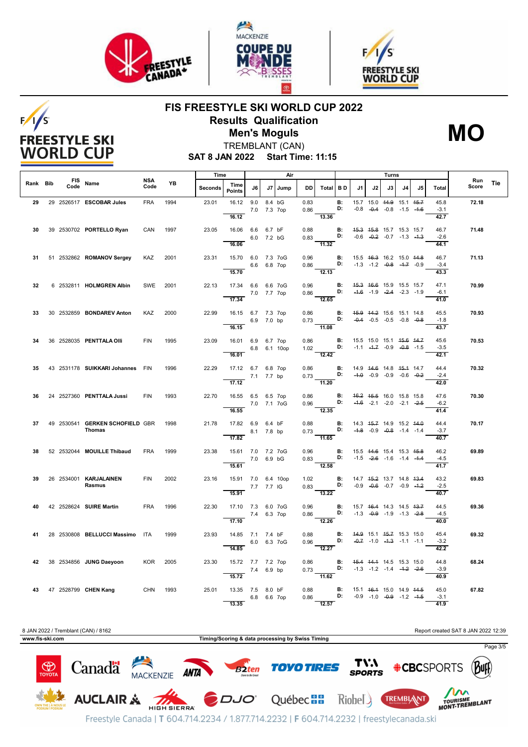

 $F/1/S$ 

**FREESTYLE SKI WORLD CUP** 





## **FIS FREESTYLE SKI WORLD CUP 2022 Results Qualification Men's Moguls MO**

**SAT 8 JAN 2022 Start Time: 11:15** TREMBLANT (CAN)

|          |      |                                           |             |           | Time    |                                                               |                    |    | Air          |              |                                                                                                         |                                    |                                                                          |                                                                | Turns |    |     |                                |              |            |
|----------|------|-------------------------------------------|-------------|-----------|---------|---------------------------------------------------------------|--------------------|----|--------------|--------------|---------------------------------------------------------------------------------------------------------|------------------------------------|--------------------------------------------------------------------------|----------------------------------------------------------------|-------|----|-----|--------------------------------|--------------|------------|
| Rank Bib | Code | FIS Name                                  | NSA<br>Code | <b>YB</b> | Seconds | Time<br><b>Points</b>                                         | J6                 | J7 | Jump         | DD           | Total BD                                                                                                |                                    | J1                                                                       | J2                                                             | J3    | J4 | .15 | Total                          | Run<br>Score | <b>Tie</b> |
| 29       |      | 29 2526517 ESCOBAR Jules                  | <b>FRA</b>  | 1994      | 23.01   | 16.12<br>16.12                                                | 9.0<br>7.0 7.3 7op |    | 8.4 bG       | 0.83<br>0.86 | 13.36                                                                                                   | <b>B:</b><br>D:                    |                                                                          | 15.7 15.0 44.9 15.1 45.7<br>$-0.8$ $-0.4$ $-0.8$ $-1.5$ $-1.6$ |       |    |     | 45.8<br>$-3.1$<br>42.7         | 72.18        |            |
| 30       |      | 39 2530702 PORTELLO Ryan                  | CAN         | 1997      | 23.05   | 16.06 6.6 6.7 bF<br>16.06                                     | 6.0 7.2 bG         |    |              | 0.88         | 0.83 <b>D:</b> $-0.6$ $-0.2$ $-0.7$ $-1.3$ $-4.3$<br>$\frac{1}{11.32}$                                  | <b>B:</b> 45.3 45.8 15.7 15.3 15.7 |                                                                          |                                                                |       |    |     | 46.7<br>$-2.6$<br>44.1         | 71.48        |            |
| 31       |      | 51 2532862 ROMANOV Sergey                 | KAZ         | 2001      | 23.31   | 15.70 6.0 7.3 7oG                                             | 6.6 6.8 7op        |    |              | 0.96         | $0.86$ D:                                                                                               | B:                                 |                                                                          | 15.5 46.3 16.2 15.0 44.8<br>$-1.3$ $-1.2$ $-0.8$ $-1.7$ $-0.9$ |       |    |     | 46.7<br>$-3.4$                 | 71.13        |            |
| 32       |      | 6 2532811 HOLMGREN Albin                  | SWE         | 2001      | 22.13   | 15.70<br>17.34 6.6 6.6 7oG<br>7.0 7.7 7op<br>17.34            |                    |    |              | 0.96         | 12.13<br>$0.86$ D: $-4.6$ $-1.9$ $-2.4$ $-2.3$ $-1.9$<br>$\overline{12.65}$                             | B:                                 |                                                                          | 45.3 46.6 15.9 15.5 15.7                                       |       |    |     | 43.3<br>47.1<br>$-6.1$         | 70.99        |            |
| 33       |      | 30 2532859 BONDAREV Anton                 | KAZ         | 2000      | 22.99   | 16.15 6.7 7.3 7op<br>16.15                                    | 6.9 7.0 bp         |    |              | 0.86         | $0.73$ D:<br>$-11.08$                                                                                   | $\blacksquare$                     | 45.9 44.2 15.6 15.1 14.8                                                 | $-0.4$ $-0.5$ $-0.5$ $-0.8$ $-0.8$                             |       |    |     | 41.0<br>45.5<br>$-1.8$<br>43.7 | 70.93        |            |
| 34       |      | 36 2528035 PENTTALA OIII                  | <b>FIN</b>  | 1995      | 23.09   | 16.01 6.9 6.7 7op<br>16.01                                    |                    |    | 6.8 6.1 10op |              | 0.86 <b>B:</b><br>1.02 <b>D:</b><br>$\frac{1}{2.42}$                                                    |                                    |                                                                          | 15.5 15.0 15.1 45.6 44.7<br>$-1.1$ $-4.7$ $-0.9$ $-0.8$ $-1.5$ |       |    |     | 45.6<br>$-3.5$<br>42.1         | 70.53        |            |
| 35       |      | 43 2531178 SUIKKARI Johannes FIN          |             | 1996      | 22.29   | 17.12 6.7 6.8 7op<br>7.1 7.7 bp<br>17.12                      |                    |    |              | 0.86         | 0.73 <b>D:</b> $-4.0$ $-0.9$ $-0.9$ $-0.6$ $-0.2$<br>11.20                                              | <b>B:</b> 14.9 44.6 14.8 45.4 14.7 |                                                                          |                                                                |       |    |     | 44.4<br>$-2.4$<br>42.0         | 70.32        |            |
| 36       |      | 24 2527360 PENTTALA Jussi                 | <b>FIN</b>  | 1993      | 22.70   | 16.55 6.5 6.5 7op<br>7.0 7.1 7oG<br>16.55                     |                    |    |              |              | $0.86$ B:<br>0.96 D:<br>$\frac{1}{12.35}$                                                               |                                    |                                                                          | 46.2 45.5 16.0 15.8 15.8<br>$-4.6$ $-2.1$ $-2.0$ $-2.1$ $-2.5$ |       |    |     | 47.6<br>$-6.2$<br>41.4         | 70.30        |            |
| 37       |      | 49 2530541 GERKEN SCHOFIELD GBR<br>Thomas |             | 1998      | 21.78   | 17.82    6.9    6.4    bF<br>8.1 7.8 bp<br>$\overline{17.82}$ |                    |    |              | 0.88         | 0.73<br>$-11.65$                                                                                        | $\blacksquare$                     | <b>D:</b> $-4.8$ $-0.9$ $-0.8$ $-1.4$ $-1.4$                             | 14.3 45.7 14.9 15.2 44.0                                       |       |    |     | 44.4<br>$-3.7$<br>40.7         | 70.17        |            |
| 38       |      | 52 2532044 MOUILLE Thibaud                | <b>FRA</b>  | 1999      | 23.38   | 15.61 7.0 7.2 7oG<br>15.61                                    | 7.0 6.9 bG         |    |              |              | $0.96$ B:<br>$0.83$ D: $-1.5$ $-2.6$ $-1.6$ $-1.4$ $-1.4$<br>12.58                                      |                                    | 15.5 44.6 15.4 15.3 45.8                                                 |                                                                |       |    |     | 46.2<br>$-4.5$<br>41.7         | 69.89        |            |
| 39       |      | 26 2534001 KARJALAINEN<br>Rasmus          | <b>FIN</b>  | 2002      | 23.16   | 15.91 7.0 6.4 10op<br>7.7 7.7 IG<br>15.91                     |                    |    |              |              | 1.02 <b>B:</b> 14.7 45.2 13.7 14.8 43.4<br>0.83 <b>D:</b> -0.9 -0.6 -0.7 -0.9 -4.2<br>$\frac{1}{13.22}$ |                                    |                                                                          |                                                                |       |    |     | 43.2<br>$-2.5$<br>40.7         | 69.83        |            |
| 40       |      | 42 2528624 SUIRE Martin                   | <b>FRA</b>  | 1996      | 22.30   | 17.10 7.3 6.0 7oG<br>7.4 6.3 7op<br>17.10                     |                    |    |              | 0.96         | $0.86$ D: -1.3 -0.9 -1.9 -1.3 -2.8<br>$\overline{12.26}$                                                | <b>B:</b> 15.7 46.4 14.3 14.5 43.7 |                                                                          |                                                                |       |    |     | 44.5<br>$-4.5$<br>40.0         | 69.36        |            |
| 41       |      | 28 2530808 BELLUCCI Massimo ITA           |             | 1999      | 23.93   | 14.85 7.1 7.4 bF<br>14.85                                     | 6.0 6.3 7 oG       |    |              | 0.88         | $0.96$ D:<br>12.27                                                                                      | B:                                 |                                                                          | 44.9 15.1 45.7 15.3 15.0<br>$-0.7$ $-1.0$ $-4.3$ $-1.1$ $-1.1$ |       |    |     | 45.4<br>$-3.2$<br>42.2         | 69.32        |            |
| 42       |      | 38 2534856 JUNG Daeyoon                   | <b>KOR</b>  | 2005      | 23.30   | 15.72 7.7 7.2 7op<br>$7.4\quad 6.9 \text{ bp}$<br>15.72       |                    |    |              |              | $0.86$ B:<br>11.62                                                                                      |                                    | 45.4 44.4 14.5 15.3 15.0<br><b>D:</b> $-1.3$ $-1.2$ $-1.4$ $-1.2$ $-2.6$ |                                                                |       |    |     | 44.8<br>$-3.9$<br>40.9         | 68.24        |            |
| 43       |      | 47 2528799 CHEN Kang                      | CHN 1993    |           | 25.01   | 13.35 7.5 8.0 bF<br>13.35                                     | 6.8 6.6 7op        |    |              | 0.88<br>0.86 | D:<br>12.57                                                                                             |                                    | <b>B:</b> 15.1 46.4 15.0 14.9 44.5                                       | $-0.9$ $-1.0$ $-0.9$ $-1.2$ $-4.5$                             |       |    |     | 45.0<br>$-3.1$<br>41.9         | 67.82        |            |



Freestyle Canada | T 604.714.2234 / 1.877.714.2232 | F 604.714.2232 | freestylecanada.ski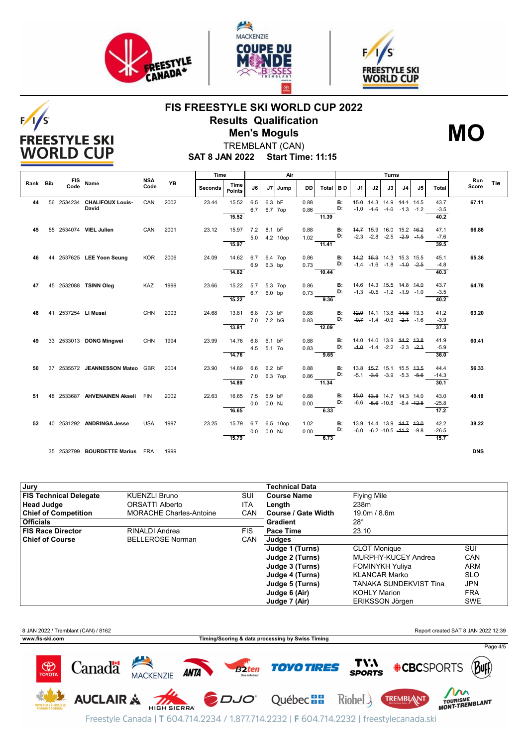

 $F/1/S$ 

**FREESTYLE SKI WORLD CUP** 





## **FIS FREESTYLE SKI WORLD CUP 2022 Results Qualification Men's Moguls MO**



TREMBLANT (CAN)

**SAT 8 JAN 2022 Start Time: 11:15**

|          |      |                                      | <b>NSA</b> |           | Time    |                    |                   |            | Air      |              |          | Turns       |      |                                                                |      |    |    |                |              |     |
|----------|------|--------------------------------------|------------|-----------|---------|--------------------|-------------------|------------|----------|--------------|----------|-------------|------|----------------------------------------------------------------|------|----|----|----------------|--------------|-----|
| Rank Bib | Code | FIS Name                             | Code       | <b>YB</b> | Seconds | Time<br>Points     | J6                |            | J7 Jump  | DD           | Total BD |             | J1   | J2                                                             | J3 I | J4 | J5 | Total          | Run<br>Score | Tie |
| 44       |      | 56 2534234 CHALIFOUX Louis-<br>David | CAN        | 2002      | 23.44   | 15.52              | 6.5<br>6.7        | 6.3 bF     | 6.7 7op  | 0.88<br>0.86 |          | $B$ :<br>D: | 45.0 | 14.3 14.9 44.4 14.5<br>$-1.0$ $-4.6$ $-4.0$ $-1.3$ $-1.2$      |      |    |    | 43.7<br>$-3.5$ | 67.11        |     |
|          |      |                                      |            |           |         | 15.52              |                   |            |          |              | 11.39    |             |      |                                                                |      |    |    | 40.2           |              |     |
| 45       |      | 55 2534074 VIEL Julien               | CAN        | 2001      | 23.12   | 15.97 7.2          |                   | 8.1 bF     |          | 0.88         |          | В:          |      | 44.7 15.9 16.0 15.2 16.2                                       |      |    |    | 47.1           | 66.88        |     |
|          |      |                                      |            |           |         | 15.97              | 5.0               |            | 4.2 10op | 1.02         | 11.41    | D:          |      | $-2.3$ $-2.8$ $-2.5$ $-2.9$ $-4.5$                             |      |    |    | $-7.6$<br>39.5 |              |     |
|          |      |                                      |            |           |         |                    |                   |            |          |              |          |             |      |                                                                |      |    |    |                |              |     |
| 46       |      | 44 2537625 LEE Yoon Seung            | <b>KOR</b> | 2006      | 24.09   | 14.62              | 6.7<br>6.9 6.3 bp |            | 6.4 7op  | 0.86<br>0.73 |          | в:<br>D:    |      | 44.2 45.9 14.3 15.3 15.5<br>$-1.4$ $-1.6$ $-1.8$ $-4.0$ $-2.5$ |      |    |    | 45.1<br>$-4.8$ | 65.36        |     |
|          |      |                                      |            |           |         | 14.62              |                   |            |          |              | 10.44    |             |      |                                                                |      |    |    | 40.3           |              |     |
| 47       |      | 45 2532088 TSINN Oleg                | KAZ        | 1999      | 23.66   | 15.22              | 5.7               |            | 5.3 7op  | 0.86         |          | в:          |      | 14.6 14.3 45.5 14.8 44.0                                       |      |    |    | 43.7           | 64.78        |     |
|          |      |                                      |            |           |         |                    | 6.7 6.0 bp        |            |          | 0.73         |          | D:          |      | $-1.3$ $-0.5$ $-1.2$ $-4.9$ $-1.0$                             |      |    |    | $-3.5$         |              |     |
|          |      |                                      |            |           |         | 15.22              |                   |            |          |              | 9.36     |             |      |                                                                |      |    |    | 40.2           |              |     |
| 48       |      | 41 2537254 LI Musai                  | <b>CHN</b> | 2003      | 24.68   | 13.81              | 6.8               | 7.3 bF     |          | 0.88         |          | В:          |      | 42.9 14.1 13.8 44.8 13.3                                       |      |    |    | 41.2           | 63.20        |     |
|          |      |                                      |            |           |         |                    |                   | 7.0 7.2 bG |          | 0.83         |          | D:          |      | $-0.7$ $-1.4$ $-0.9$ $-2.4$ $-1.6$                             |      |    |    | $-3.9$         |              |     |
|          |      |                                      |            |           |         | 13.81              |                   |            |          |              | 12.09    |             |      |                                                                |      |    |    | 37.3           |              |     |
| 49       |      | 33 2533013 DONG Mingwei              | <b>CHN</b> | 1994      | 23.99   | 14.76              | 6.8               | 6.1 bF     |          | 0.88         |          | в:          |      | 14.0 14.0 13.9 44.2 43.8                                       |      |    |    | 41.9           | 60.41        |     |
|          |      |                                      |            |           |         |                    | 4.5               | 5.1 7o     |          | 0.83         |          | D:          |      | $-4.0$ $-1.4$ $-2.2$ $-2.3$ $-2.3$                             |      |    |    | $-5.9$         |              |     |
|          |      |                                      |            |           |         | 14.76              |                   |            |          |              | 9.65     |             |      |                                                                |      |    |    | 36.0           |              |     |
| 50       |      | 37 2535572 JEANNESSON Mateo GBR      |            | 2004      | 23.90   | 14.89              | 6.6               | 6.2 bF     |          | 0.88         |          | в:          |      | 13.8 45.7 15.1 15.5 43.5                                       |      |    |    | 44.4           | 56.33        |     |
|          |      |                                      |            |           |         |                    | 7.0 6.3 7op       |            |          | 0.86         |          | D:          |      | $-5.1$ $-3.6$ $-3.9$ $-5.3$ $-5.6$                             |      |    |    | $-14.3$        |              |     |
|          |      |                                      |            |           |         | 14.89              |                   |            |          |              | 11.34    |             |      |                                                                |      |    |    | 30.1           |              |     |
| 51       |      | 48 2533687 AHVENAINEN Akseli FIN     |            | 2002      | 22.63   | 16.65              | 7.5               | 6.9 bF     |          | 0.88         |          | В:          |      | 45.0 43.8 14.7 14.3 14.0                                       |      |    |    | 43.0           | 40.18        |     |
|          |      |                                      |            |           |         |                    | 0.0               | 0.0 NJ     |          | 0.00         |          | D:          |      | $-6.6$ $-5.6$ $-10.8$ $-8.4$ $-12.8$                           |      |    |    | $-25.8$        |              |     |
|          |      |                                      |            |           |         | 16.65              |                   |            |          |              | 6.33     |             |      |                                                                |      |    |    | 17.2           |              |     |
| 52       |      | 40 2531292 ANDRINGA Jesse            | <b>USA</b> | 1997      | 23.25   | 15.79 6.7 6.5 10op |                   |            |          | 1.02         |          | <b>B:</b>   |      | 13.9 14.4 13.9 44.7 43.0                                       |      |    |    | 42.2           | 38.22        |     |
|          |      |                                      |            |           |         |                    | 0.0               | 0.0 NJ     |          | 0.00         |          | D:          |      | $-6.0$ $-6.2$ $-10.5$ $-44.2$ $-9.8$                           |      |    |    | $-26.5$        |              |     |
|          |      |                                      |            |           |         | 15.79              |                   |            |          |              | 6.73     |             |      |                                                                |      |    |    | 15.7           |              |     |
|          |      | 35 2532799 BOURDETTE Marius FRA      |            | 1999      |         |                    |                   |            |          |              |          |             |      |                                                                |      |    |    |                | <b>DNS</b>   |     |

| Jury                          |                                |            | <b>Technical Data</b> |                               |            |
|-------------------------------|--------------------------------|------------|-----------------------|-------------------------------|------------|
| <b>FIS Technical Delegate</b> | <b>KUENZLI Bruno</b>           | SUI        | <b>Course Name</b>    | <b>Flying Mile</b>            |            |
| Head Judge                    | ORSATTI Alberto                | <b>ITA</b> | Length                | 238m                          |            |
| <b>Chief of Competition</b>   | <b>MORACHE Charles-Antoine</b> | <b>CAN</b> | l Course / Gate Width | 19.0m / 8.6m                  |            |
| <b>Officials</b>              |                                |            | Gradient              | $28^{\circ}$                  |            |
| FIS Race Director             | RINALDI Andrea                 | <b>FIS</b> | l Pace Time           | 23.10                         |            |
| <b>Chief of Course</b>        | <b>BELLEROSE Norman</b>        | CAN        | Judges                |                               |            |
|                               |                                |            | Judge 1 (Turns)       | <b>CLOT Monique</b>           | <b>SUI</b> |
|                               |                                |            | Judge 2 (Turns)       | MURPHY-KUCEY Andrea           | <b>CAN</b> |
|                               |                                |            | Judge 3 (Turns)       | <b>FOMINYKH Yuliya</b>        | <b>ARM</b> |
|                               |                                |            | Judge 4 (Turns)       | <b>KLANCAR Marko</b>          | <b>SLO</b> |
|                               |                                |            | Judge 5 (Turns)       | <b>TANAKA SUNDEKVIST Tina</b> | JPN        |
|                               |                                |            | Judge 6 (Air)         | <b>KOHLY Marion</b>           | <b>FRA</b> |
|                               |                                |            | Judge 7 (Air)         | ERIKSSON Jörgen               | <b>SWE</b> |